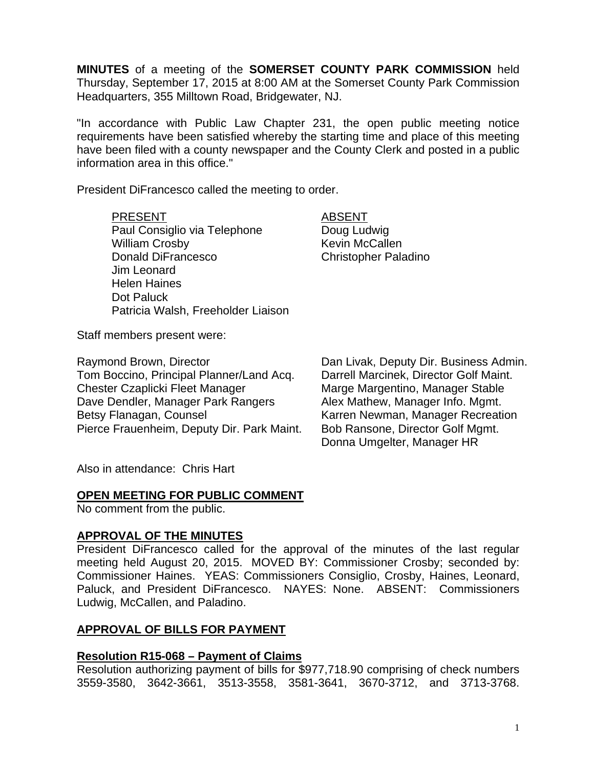**MINUTES** of a meeting of the **SOMERSET COUNTY PARK COMMISSION** held Thursday, September 17, 2015 at 8:00 AM at the Somerset County Park Commission Headquarters, 355 Milltown Road, Bridgewater, NJ.

"In accordance with Public Law Chapter 231, the open public meeting notice requirements have been satisfied whereby the starting time and place of this meeting have been filed with a county newspaper and the County Clerk and posted in a public information area in this office."

President DiFrancesco called the meeting to order.

#### PRESENT ABSENT

Paul Consiglio via Telephone Doug Ludwig William Crosby **Kevin McCallen** Donald DiFrancesco Christopher Paladino Jim Leonard Helen Haines Dot Paluck Patricia Walsh, Freeholder Liaison

Staff members present were:

Raymond Brown, Director **Dan Livak, Deputy Dir. Business Admin.** Tom Boccino, Principal Planner/Land Acq. Darrell Marcinek, Director Golf Maint. Chester Czaplicki Fleet Manager Marge Marge Margentino, Manager Stable Dave Dendler, Manager Park Rangers Alex Mathew, Manager Info. Mgmt. Betsy Flanagan, Counsel **Karren Newman, Manager Recreation** Pierce Frauenheim, Deputy Dir. Park Maint. Bob Ransone, Director Golf Mgmt.

Donna Umgelter, Manager HR

Also in attendance: Chris Hart

### **OPEN MEETING FOR PUBLIC COMMENT**

No comment from the public.

### **APPROVAL OF THE MINUTES**

President DiFrancesco called for the approval of the minutes of the last regular meeting held August 20, 2015. MOVED BY: Commissioner Crosby; seconded by: Commissioner Haines. YEAS: Commissioners Consiglio, Crosby, Haines, Leonard, Paluck, and President DiFrancesco. NAYES: None. ABSENT: Commissioners Ludwig, McCallen, and Paladino.

### **APPROVAL OF BILLS FOR PAYMENT**

### **Resolution R15-068 – Payment of Claims**

Resolution authorizing payment of bills for \$977,718.90 comprising of check numbers 3559-3580, 3642-3661, 3513-3558, 3581-3641, 3670-3712, and 3713-3768.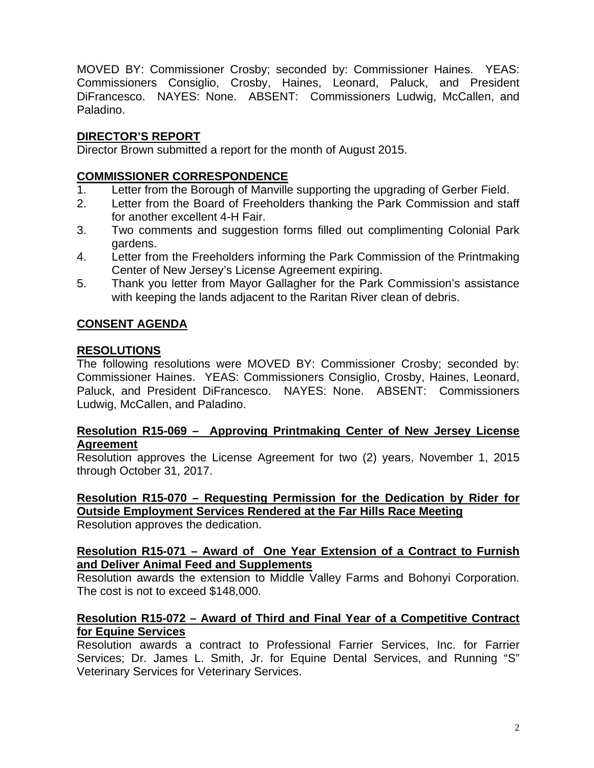MOVED BY: Commissioner Crosby; seconded by: Commissioner Haines. YEAS: Commissioners Consiglio, Crosby, Haines, Leonard, Paluck, and President DiFrancesco. NAYES: None. ABSENT: Commissioners Ludwig, McCallen, and Paladino.

# **DIRECTOR'S REPORT**

Director Brown submitted a report for the month of August 2015.

### **COMMISSIONER CORRESPONDENCE**

- 1. Letter from the Borough of Manville supporting the upgrading of Gerber Field.
- 2. Letter from the Board of Freeholders thanking the Park Commission and staff for another excellent 4-H Fair.
- 3. Two comments and suggestion forms filled out complimenting Colonial Park gardens.
- 4. Letter from the Freeholders informing the Park Commission of the Printmaking Center of New Jersey's License Agreement expiring.
- 5. Thank you letter from Mayor Gallagher for the Park Commission's assistance with keeping the lands adjacent to the Raritan River clean of debris.

# **CONSENT AGENDA**

### **RESOLUTIONS**

The following resolutions were MOVED BY: Commissioner Crosby; seconded by: Commissioner Haines. YEAS: Commissioners Consiglio, Crosby, Haines, Leonard, Paluck, and President DiFrancesco. NAYES: None. ABSENT: Commissioners Ludwig, McCallen, and Paladino.

### **Resolution R15-069 – Approving Printmaking Center of New Jersey License Agreement**

Resolution approves the License Agreement for two (2) years, November 1, 2015 through October 31, 2017.

# **Resolution R15-070 – Requesting Permission for the Dedication by Rider for Outside Employment Services Rendered at the Far Hills Race Meeting**

Resolution approves the dedication.

### **Resolution R15-071 – Award of One Year Extension of a Contract to Furnish and Deliver Animal Feed and Supplements**

Resolution awards the extension to Middle Valley Farms and Bohonyi Corporation. The cost is not to exceed \$148,000.

### **Resolution R15-072 – Award of Third and Final Year of a Competitive Contract for Equine Services**

Resolution awards a contract to Professional Farrier Services, Inc. for Farrier Services; Dr. James L. Smith, Jr. for Equine Dental Services, and Running "S" Veterinary Services for Veterinary Services.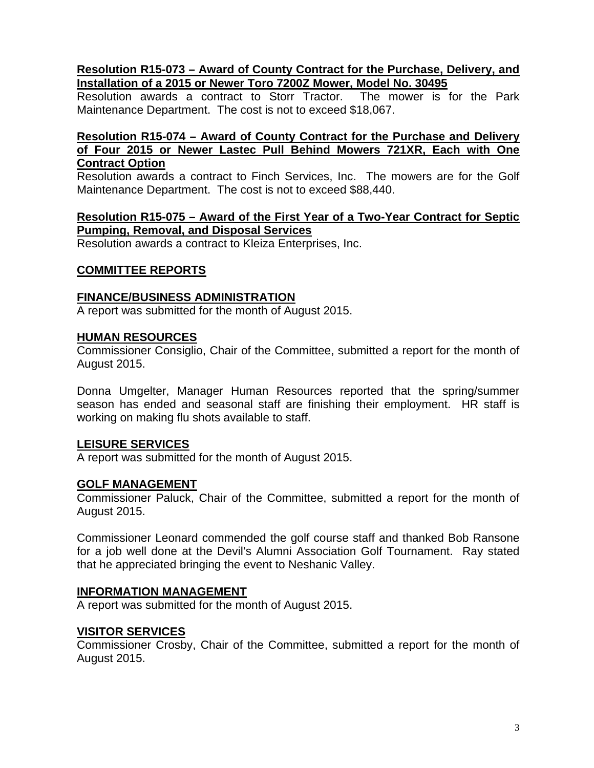### **Resolution R15-073 – Award of County Contract for the Purchase, Delivery, and Installation of a 2015 or Newer Toro 7200Z Mower, Model No. 30495**

Resolution awards a contract to Storr Tractor. The mower is for the Park Maintenance Department. The cost is not to exceed \$18,067.

### **Resolution R15-074 – Award of County Contract for the Purchase and Delivery of Four 2015 or Newer Lastec Pull Behind Mowers 721XR, Each with One Contract Option**

Resolution awards a contract to Finch Services, Inc. The mowers are for the Golf Maintenance Department. The cost is not to exceed \$88,440.

### **Resolution R15-075 – Award of the First Year of a Two-Year Contract for Septic Pumping, Removal, and Disposal Services**

Resolution awards a contract to Kleiza Enterprises, Inc.

#### **COMMITTEE REPORTS**

#### **FINANCE/BUSINESS ADMINISTRATION**

A report was submitted for the month of August 2015.

#### **HUMAN RESOURCES**

Commissioner Consiglio, Chair of the Committee, submitted a report for the month of August 2015.

Donna Umgelter, Manager Human Resources reported that the spring/summer season has ended and seasonal staff are finishing their employment. HR staff is working on making flu shots available to staff.

### **LEISURE SERVICES**

A report was submitted for the month of August 2015.

### **GOLF MANAGEMENT**

Commissioner Paluck, Chair of the Committee, submitted a report for the month of August 2015.

Commissioner Leonard commended the golf course staff and thanked Bob Ransone for a job well done at the Devil's Alumni Association Golf Tournament. Ray stated that he appreciated bringing the event to Neshanic Valley.

#### **INFORMATION MANAGEMENT**

A report was submitted for the month of August 2015.

#### **VISITOR SERVICES**

Commissioner Crosby, Chair of the Committee, submitted a report for the month of August 2015.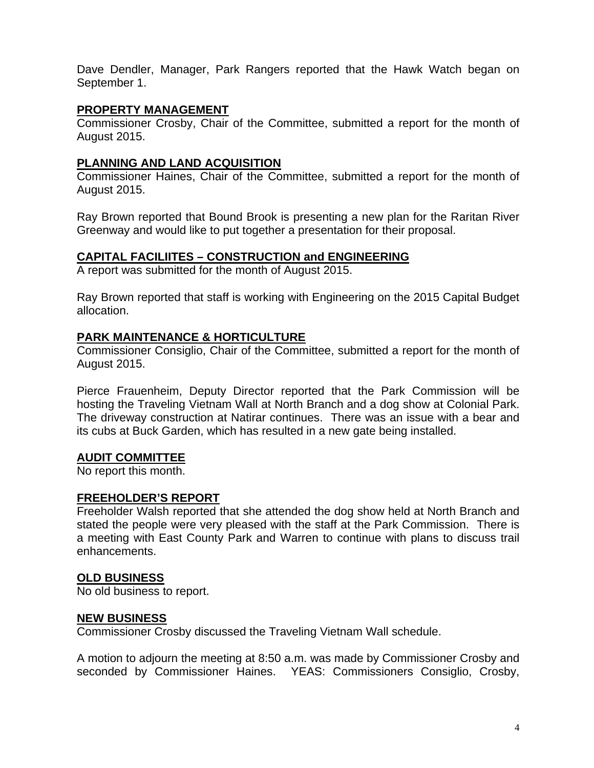Dave Dendler, Manager, Park Rangers reported that the Hawk Watch began on September 1.

### **PROPERTY MANAGEMENT**

Commissioner Crosby, Chair of the Committee, submitted a report for the month of August 2015.

# **PLANNING AND LAND ACQUISITION**

Commissioner Haines, Chair of the Committee, submitted a report for the month of August 2015.

Ray Brown reported that Bound Brook is presenting a new plan for the Raritan River Greenway and would like to put together a presentation for their proposal.

### **CAPITAL FACILIITES – CONSTRUCTION and ENGINEERING**

A report was submitted for the month of August 2015.

Ray Brown reported that staff is working with Engineering on the 2015 Capital Budget allocation.

# **PARK MAINTENANCE & HORTICULTURE**

Commissioner Consiglio, Chair of the Committee, submitted a report for the month of August 2015.

Pierce Frauenheim, Deputy Director reported that the Park Commission will be hosting the Traveling Vietnam Wall at North Branch and a dog show at Colonial Park. The driveway construction at Natirar continues. There was an issue with a bear and its cubs at Buck Garden, which has resulted in a new gate being installed.

### **AUDIT COMMITTEE**

No report this month.

### **FREEHOLDER'S REPORT**

Freeholder Walsh reported that she attended the dog show held at North Branch and stated the people were very pleased with the staff at the Park Commission. There is a meeting with East County Park and Warren to continue with plans to discuss trail enhancements.

# **OLD BUSINESS**

No old business to report.

# **NEW BUSINESS**

Commissioner Crosby discussed the Traveling Vietnam Wall schedule.

A motion to adjourn the meeting at 8:50 a.m. was made by Commissioner Crosby and seconded by Commissioner Haines. YEAS: Commissioners Consiglio, Crosby,